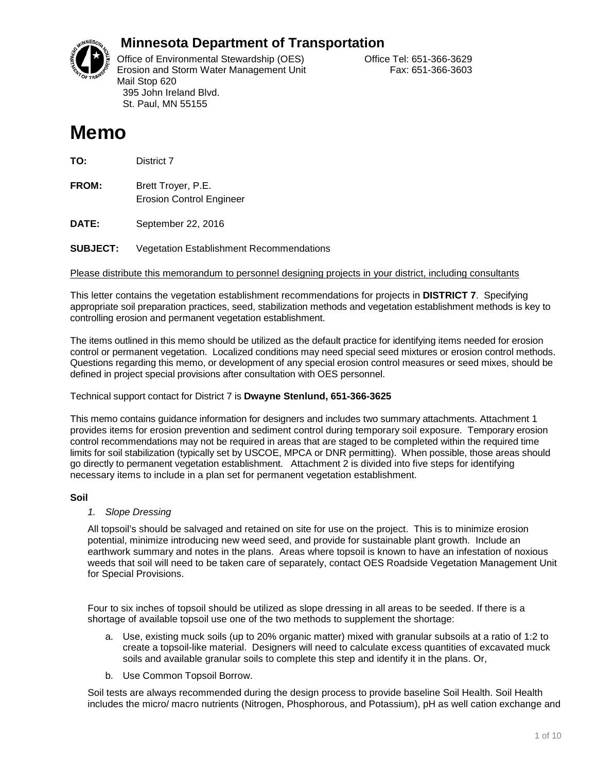

# **Minnesota Department of Transportation**

Office of Environmental Stewardship (OES) Correct Correct Correct Correct Correct Office Tel: 651-366-3629 Erosion and Storm Water Management Unit Fax: 651-366-3603 Mail Stop 620 395 John Ireland Blvd. St. Paul, MN 55155

# **Memo**

**TO:** District 7

**FROM:** Brett Troyer, P.E. Erosion Control Engineer

**DATE:** September 22, 2016

**SUBJECT:** Vegetation Establishment Recommendations

Please distribute this memorandum to personnel designing projects in your district, including consultants

This letter contains the vegetation establishment recommendations for projects in **DISTRICT 7**. Specifying appropriate soil preparation practices, seed, stabilization methods and vegetation establishment methods is key to controlling erosion and permanent vegetation establishment.

The items outlined in this memo should be utilized as the default practice for identifying items needed for erosion control or permanent vegetation. Localized conditions may need special seed mixtures or erosion control methods. Questions regarding this memo, or development of any special erosion control measures or seed mixes, should be defined in project special provisions after consultation with OES personnel.

### Technical support contact for District 7 is **Dwayne Stenlund, 651-366-3625**

This memo contains guidance information for designers and includes two summary attachments. Attachment 1 provides items for erosion prevention and sediment control during temporary soil exposure. Temporary erosion control recommendations may not be required in areas that are staged to be completed within the required time limits for soil stabilization (typically set by USCOE, MPCA or DNR permitting). When possible, those areas should go directly to permanent vegetation establishment. Attachment 2 is divided into five steps for identifying necessary items to include in a plan set for permanent vegetation establishment.

### **Soil**

### *1. Slope Dressing*

All topsoil's should be salvaged and retained on site for use on the project. This is to minimize erosion potential, minimize introducing new weed seed, and provide for sustainable plant growth. Include an earthwork summary and notes in the plans. Areas where topsoil is known to have an infestation of noxious weeds that soil will need to be taken care of separately, contact OES Roadside Vegetation Management Unit for Special Provisions.

Four to six inches of topsoil should be utilized as slope dressing in all areas to be seeded. If there is a shortage of available topsoil use one of the two methods to supplement the shortage:

- a. Use, existing muck soils (up to 20% organic matter) mixed with granular subsoils at a ratio of 1:2 to create a topsoil-like material. Designers will need to calculate excess quantities of excavated muck soils and available granular soils to complete this step and identify it in the plans. Or,
- b. Use Common Topsoil Borrow.

Soil tests are always recommended during the design process to provide baseline Soil Health. Soil Health includes the micro/ macro nutrients (Nitrogen, Phosphorous, and Potassium), pH as well cation exchange and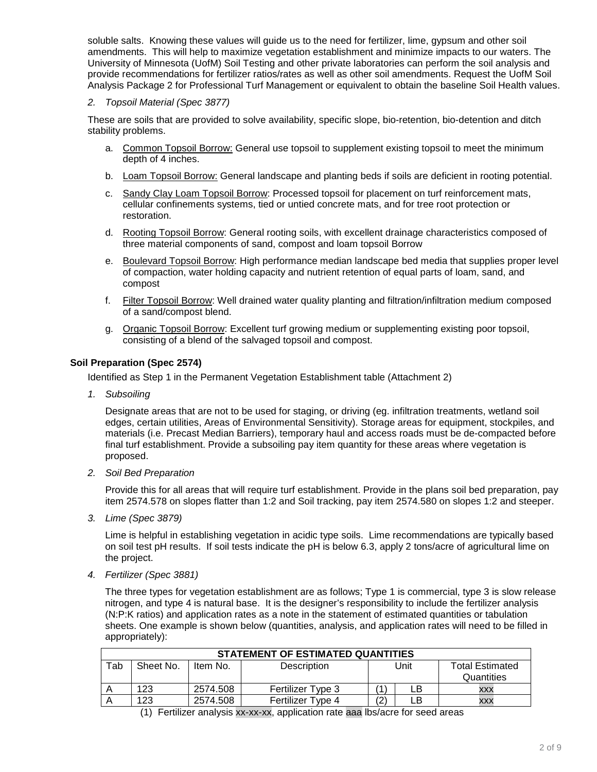soluble salts. Knowing these values will guide us to the need for fertilizer, lime, gypsum and other soil amendments. This will help to maximize vegetation establishment and minimize impacts to our waters. The University of Minnesota (UofM) Soil Testing and other private laboratories can perform the soil analysis and provide recommendations for fertilizer ratios/rates as well as other soil amendments. Request the UofM Soil Analysis Package 2 for Professional Turf Management or equivalent to obtain the baseline Soil Health values.

#### *2. Topsoil Material (Spec 3877)*

These are soils that are provided to solve availability, specific slope, bio-retention, bio-detention and ditch stability problems.

- a. Common Topsoil Borrow: General use topsoil to supplement existing topsoil to meet the minimum depth of 4 inches.
- b. Loam Topsoil Borrow: General landscape and planting beds if soils are deficient in rooting potential.
- c. Sandy Clay Loam Topsoil Borrow: Processed topsoil for placement on turf reinforcement mats, cellular confinements systems, tied or untied concrete mats, and for tree root protection or restoration.
- d. Rooting Topsoil Borrow: General rooting soils, with excellent drainage characteristics composed of three material components of sand, compost and loam topsoil Borrow
- e. Boulevard Topsoil Borrow: High performance median landscape bed media that supplies proper level of compaction, water holding capacity and nutrient retention of equal parts of loam, sand, and compost
- f. Filter Topsoil Borrow: Well drained water quality planting and filtration/infiltration medium composed of a sand/compost blend.
- g. Organic Topsoil Borrow: Excellent turf growing medium or supplementing existing poor topsoil, consisting of a blend of the salvaged topsoil and compost.

### **Soil Preparation (Spec 2574)**

Identified as Step 1 in the Permanent Vegetation Establishment table (Attachment 2)

*1. Subsoiling*

Designate areas that are not to be used for staging, or driving (eg. infiltration treatments, wetland soil edges, certain utilities, Areas of Environmental Sensitivity). Storage areas for equipment, stockpiles, and materials (i.e. Precast Median Barriers), temporary haul and access roads must be de-compacted before final turf establishment. Provide a subsoiling pay item quantity for these areas where vegetation is proposed.

*2. Soil Bed Preparation*

Provide this for all areas that will require turf establishment. Provide in the plans soil bed preparation, pay item 2574.578 on slopes flatter than 1:2 and Soil tracking, pay item 2574.580 on slopes 1:2 and steeper.

*3. Lime (Spec 3879)* 

Lime is helpful in establishing vegetation in acidic type soils. Lime recommendations are typically based on soil test pH results. If soil tests indicate the pH is below 6.3, apply 2 tons/acre of agricultural lime on the project.

*4. Fertilizer (Spec 3881)*

The three types for vegetation establishment are as follows; Type 1 is commercial, type 3 is slow release nitrogen, and type 4 is natural base. It is the designer's responsibility to include the fertilizer analysis (N:P:K ratios) and application rates as a note in the statement of estimated quantities or tabulation sheets. One example is shown below (quantities, analysis, and application rates will need to be filled in appropriately):

| <b>STATEMENT OF ESTIMATED QUANTITIES</b> |                                                                        |          |                   |               |    |            |  |  |
|------------------------------------------|------------------------------------------------------------------------|----------|-------------------|---------------|----|------------|--|--|
| Tab                                      | Sheet No.<br>Unit<br><b>Total Estimated</b><br>Description<br>Item No. |          |                   |               |    |            |  |  |
|                                          |                                                                        |          |                   |               |    | Quantities |  |  |
|                                          | 123                                                                    | 2574.508 | Fertilizer Type 3 |               | LB | <b>XXX</b> |  |  |
|                                          | 123                                                                    | 2574.508 | Fertilizer Type 4 | $^{\prime}2.$ |    | XXX        |  |  |

(1) Fertilizer analysis xx-xx-xx, application rate aaa lbs/acre for seed areas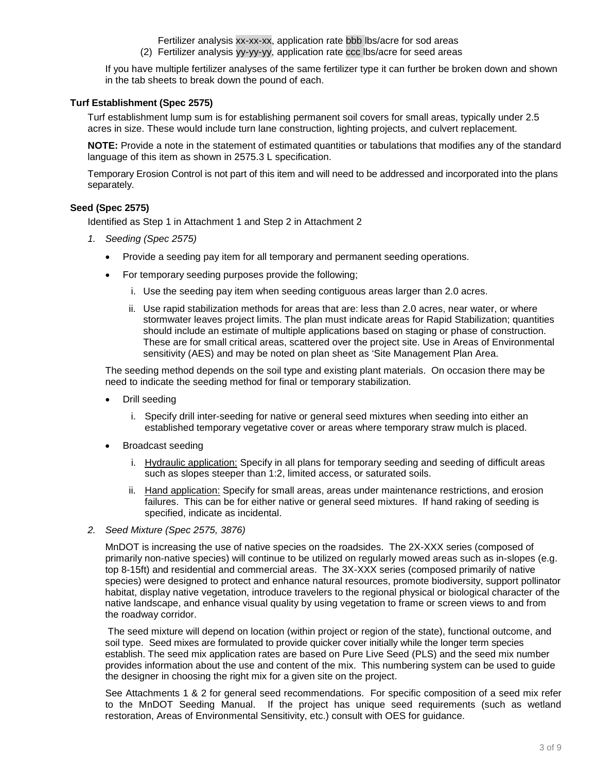Fertilizer analysis xx-xx-xx, application rate bbb lbs/acre for sod areas

(2) Fertilizer analysis yy-yy-yy, application rate ccc lbs/acre for seed areas

If you have multiple fertilizer analyses of the same fertilizer type it can further be broken down and shown in the tab sheets to break down the pound of each.

### **Turf Establishment (Spec 2575)**

Turf establishment lump sum is for establishing permanent soil covers for small areas, typically under 2.5 acres in size. These would include turn lane construction, lighting projects, and culvert replacement.

**NOTE:** Provide a note in the statement of estimated quantities or tabulations that modifies any of the standard language of this item as shown in 2575.3 L specification.

Temporary Erosion Control is not part of this item and will need to be addressed and incorporated into the plans separately.

#### **Seed (Spec 2575)**

Identified as Step 1 in Attachment 1 and Step 2 in Attachment 2

- *1. Seeding (Spec 2575)*
	- Provide a seeding pay item for all temporary and permanent seeding operations.
	- For temporary seeding purposes provide the following;
		- i. Use the seeding pay item when seeding contiguous areas larger than 2.0 acres.
		- ii. Use rapid stabilization methods for areas that are: less than 2.0 acres, near water, or where stormwater leaves project limits. The plan must indicate areas for Rapid Stabilization; quantities should include an estimate of multiple applications based on staging or phase of construction. These are for small critical areas, scattered over the project site. Use in Areas of Environmental sensitivity (AES) and may be noted on plan sheet as 'Site Management Plan Area.

The seeding method depends on the soil type and existing plant materials. On occasion there may be need to indicate the seeding method for final or temporary stabilization.

- Drill seeding
	- i. Specify drill inter-seeding for native or general seed mixtures when seeding into either an established temporary vegetative cover or areas where temporary straw mulch is placed.
- Broadcast seeding
	- i. Hydraulic application: Specify in all plans for temporary seeding and seeding of difficult areas such as slopes steeper than 1:2, limited access, or saturated soils.
	- ii. Hand application: Specify for small areas, areas under maintenance restrictions, and erosion failures. This can be for either native or general seed mixtures. If hand raking of seeding is specified, indicate as incidental.
- *2. Seed Mixture (Spec 2575, 3876)*

MnDOT is increasing the use of native species on the roadsides. The 2X-XXX series (composed of primarily non-native species) will continue to be utilized on regularly mowed areas such as in-slopes (e.g. top 8-15ft) and residential and commercial areas. The 3X-XXX series (composed primarily of native species) were designed to protect and enhance natural resources, promote biodiversity, support pollinator habitat, display native vegetation, introduce travelers to the regional physical or biological character of the native landscape, and enhance visual quality by using vegetation to frame or screen views to and from the roadway corridor.

The seed mixture will depend on location (within project or region of the state), functional outcome, and soil type. Seed mixes are formulated to provide quicker cover initially while the longer term species establish. The seed mix application rates are based on Pure Live Seed (PLS) and the seed mix number provides information about the use and content of the mix. This numbering system can be used to guide the designer in choosing the right mix for a given site on the project.

See Attachments 1 & 2 for general seed recommendations. For specific composition of a seed mix refer to the MnDOT Seeding Manual. If the project has unique seed requirements (such as wetland restoration, Areas of Environmental Sensitivity, etc.) consult with OES for guidance.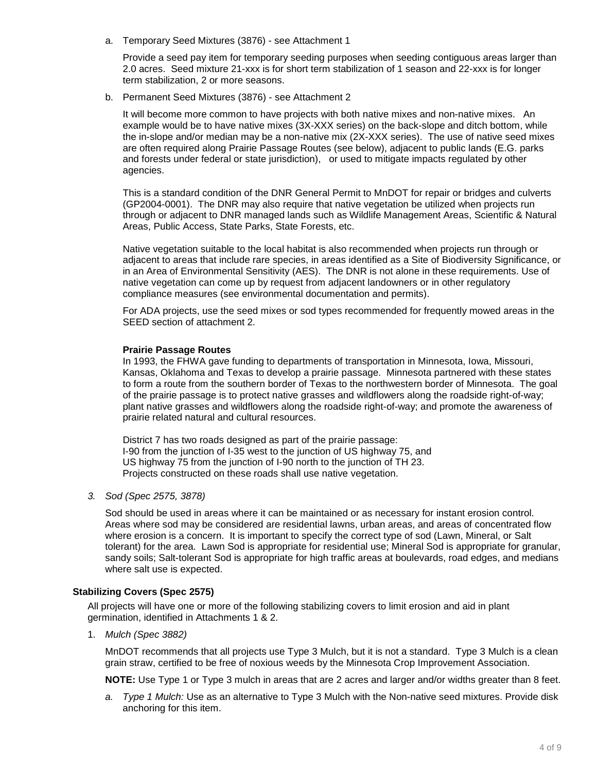a. Temporary Seed Mixtures (3876) - see Attachment 1

Provide a seed pay item for temporary seeding purposes when seeding contiguous areas larger than 2.0 acres. Seed mixture 21-xxx is for short term stabilization of 1 season and 22-xxx is for longer term stabilization, 2 or more seasons.

b. Permanent Seed Mixtures (3876) - see Attachment 2

It will become more common to have projects with both native mixes and non-native mixes. An example would be to have native mixes (3X-XXX series) on the back-slope and ditch bottom, while the in-slope and/or median may be a non-native mix (2X-XXX series). The use of native seed mixes are often required along Prairie Passage Routes (see below), adjacent to public lands (E.G. parks and forests under federal or state jurisdiction), or used to mitigate impacts regulated by other agencies.

This is a standard condition of the DNR General Permit to MnDOT for repair or bridges and culverts (GP2004-0001). The DNR may also require that native vegetation be utilized when projects run through or adjacent to DNR managed lands such as Wildlife Management Areas, Scientific & Natural Areas, Public Access, State Parks, State Forests, etc.

Native vegetation suitable to the local habitat is also recommended when projects run through or adjacent to areas that include rare species, in areas identified as a Site of Biodiversity Significance, or in an Area of Environmental Sensitivity (AES). The DNR is not alone in these requirements. Use of native vegetation can come up by request from adjacent landowners or in other regulatory compliance measures (see environmental documentation and permits).

For ADA projects, use the seed mixes or sod types recommended for frequently mowed areas in the SEED section of attachment 2.

#### **Prairie Passage Routes**

In 1993, the FHWA gave funding to departments of transportation in Minnesota, Iowa, Missouri, Kansas, Oklahoma and Texas to develop a prairie passage. Minnesota partnered with these states to form a route from the southern border of Texas to the northwestern border of Minnesota. The goal of the prairie passage is to protect native grasses and wildflowers along the roadside right-of-way; plant native grasses and wildflowers along the roadside right-of-way; and promote the awareness of prairie related natural and cultural resources.

District 7 has two roads designed as part of the prairie passage: I-90 from the junction of I-35 west to the junction of US highway 75, and US highway 75 from the junction of I-90 north to the junction of TH 23. Projects constructed on these roads shall use native vegetation.

#### *3. Sod (Spec 2575, 3878)*

Sod should be used in areas where it can be maintained or as necessary for instant erosion control. Areas where sod may be considered are residential lawns, urban areas, and areas of concentrated flow where erosion is a concern. It is important to specify the correct type of sod (Lawn, Mineral, or Salt tolerant) for the area. Lawn Sod is appropriate for residential use; Mineral Sod is appropriate for granular, sandy soils; Salt-tolerant Sod is appropriate for high traffic areas at boulevards, road edges, and medians where salt use is expected.

#### **Stabilizing Covers (Spec 2575)**

All projects will have one or more of the following stabilizing covers to limit erosion and aid in plant germination, identified in Attachments 1 & 2.

1. *Mulch (Spec 3882)* 

MnDOT recommends that all projects use Type 3 Mulch, but it is not a standard. Type 3 Mulch is a clean grain straw, certified to be free of noxious weeds by the Minnesota Crop Improvement Association.

**NOTE:** Use Type 1 or Type 3 mulch in areas that are 2 acres and larger and/or widths greater than 8 feet.

*a. Type 1 Mulch:* Use as an alternative to Type 3 Mulch with the Non-native seed mixtures. Provide disk anchoring for this item.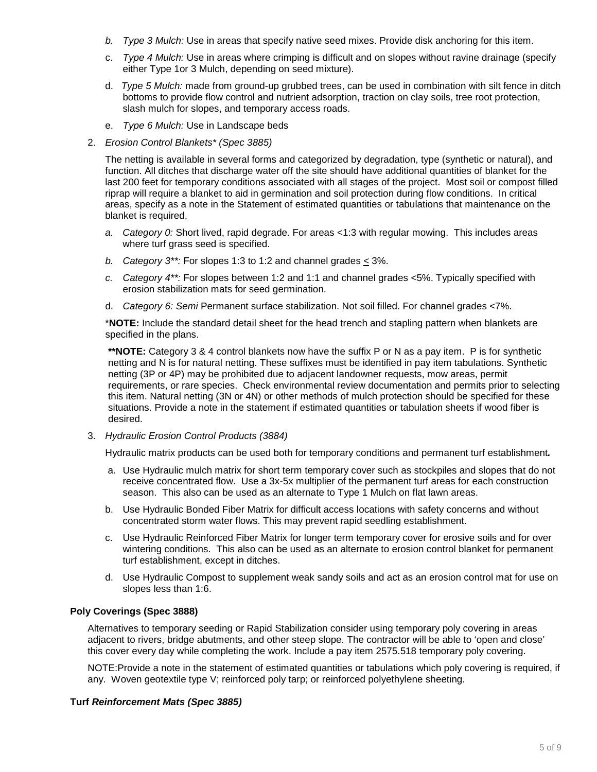- *b. Type 3 Mulch:* Use in areas that specify native seed mixes. Provide disk anchoring for this item.
- c. *Type 4 Mulch:* Use in areas where crimping is difficult and on slopes without ravine drainage (specify either Type 1or 3 Mulch, depending on seed mixture).
- d. *Type 5 Mulch:* made from ground-up grubbed trees, can be used in combination with silt fence in ditch bottoms to provide flow control and nutrient adsorption, traction on clay soils, tree root protection, slash mulch for slopes, and temporary access roads.
- e. *Type 6 Mulch:* Use in Landscape beds
- 2. *Erosion Control Blankets\* (Spec 3885)*

The netting is available in several forms and categorized by degradation, type (synthetic or natural), and function. All ditches that discharge water off the site should have additional quantities of blanket for the last 200 feet for temporary conditions associated with all stages of the project. Most soil or compost filled riprap will require a blanket to aid in germination and soil protection during flow conditions. In critical areas, specify as a note in the Statement of estimated quantities or tabulations that maintenance on the blanket is required.

- *a. Category 0:* Short lived, rapid degrade. For areas <1:3 with regular mowing. This includes areas where turf grass seed is specified.
- *b. Category 3\*\*:* For slopes 1:3 to 1:2 and channel grades < 3%.
- *c. Category 4\*\*:* For slopes between 1:2 and 1:1 and channel grades <5%. Typically specified with erosion stabilization mats for seed germination.
- d. *Category 6: Semi* Permanent surface stabilization. Not soil filled. For channel grades <7%.

\***NOTE:** Include the standard detail sheet for the head trench and stapling pattern when blankets are specified in the plans.

**\*\*NOTE:** Category 3 & 4 control blankets now have the suffix P or N as a pay item. P is for synthetic netting and N is for natural netting. These suffixes must be identified in pay item tabulations. Synthetic netting (3P or 4P) may be prohibited due to adjacent landowner requests, mow areas, permit requirements, or rare species. Check environmental review documentation and permits prior to selecting this item. Natural netting (3N or 4N) or other methods of mulch protection should be specified for these situations. Provide a note in the statement if estimated quantities or tabulation sheets if wood fiber is desired.

3. *Hydraulic Erosion Control Products (3884)*

Hydraulic matrix products can be used both for temporary conditions and permanent turf establishment*.* 

- a. Use Hydraulic mulch matrix for short term temporary cover such as stockpiles and slopes that do not receive concentrated flow. Use a 3x-5x multiplier of the permanent turf areas for each construction season. This also can be used as an alternate to Type 1 Mulch on flat lawn areas.
- b. Use Hydraulic Bonded Fiber Matrix for difficult access locations with safety concerns and without concentrated storm water flows. This may prevent rapid seedling establishment.
- c. Use Hydraulic Reinforced Fiber Matrix for longer term temporary cover for erosive soils and for over wintering conditions. This also can be used as an alternate to erosion control blanket for permanent turf establishment, except in ditches.
- d. Use Hydraulic Compost to supplement weak sandy soils and act as an erosion control mat for use on slopes less than 1:6.

### **Poly Coverings (Spec 3888)**

Alternatives to temporary seeding or Rapid Stabilization consider using temporary poly covering in areas adjacent to rivers, bridge abutments, and other steep slope. The contractor will be able to 'open and close' this cover every day while completing the work. Include a pay item 2575.518 temporary poly covering.

NOTE:Provide a note in the statement of estimated quantities or tabulations which poly covering is required, if any. Woven geotextile type V; reinforced poly tarp; or reinforced polyethylene sheeting.

### **Turf** *Reinforcement Mats (Spec 3885)*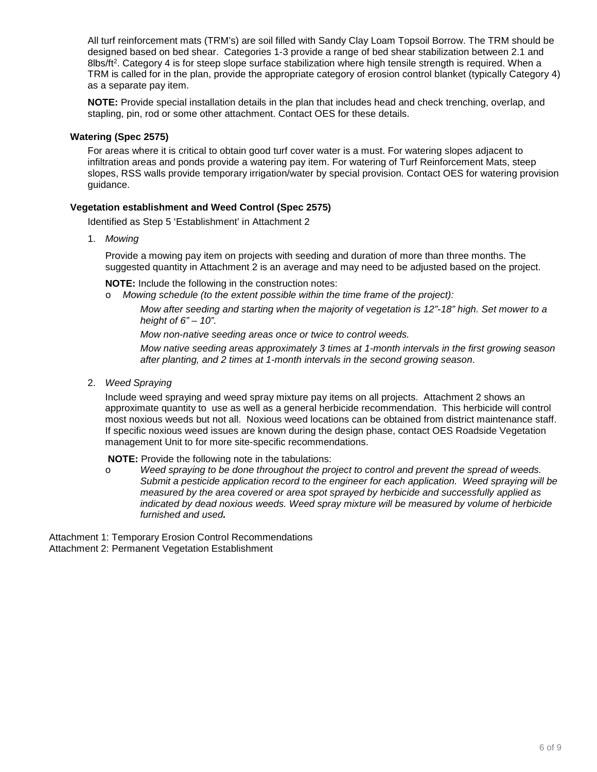All turf reinforcement mats (TRM's) are soil filled with Sandy Clay Loam Topsoil Borrow. The TRM should be designed based on bed shear. Categories 1-3 provide a range of bed shear stabilization between 2.1 and 8lbs/ft<sup>2</sup>. Category 4 is for steep slope surface stabilization where high tensile strength is required. When a TRM is called for in the plan, provide the appropriate category of erosion control blanket (typically Category 4) as a separate pay item.

**NOTE:** Provide special installation details in the plan that includes head and check trenching, overlap, and stapling, pin, rod or some other attachment. Contact OES for these details.

#### **Watering (Spec 2575)**

For areas where it is critical to obtain good turf cover water is a must. For watering slopes adjacent to infiltration areas and ponds provide a watering pay item. For watering of Turf Reinforcement Mats, steep slopes, RSS walls provide temporary irrigation/water by special provision. Contact OES for watering provision guidance.

#### **Vegetation establishment and Weed Control (Spec 2575)**

Identified as Step 5 'Establishment' in Attachment 2

1. *Mowing*

Provide a mowing pay item on projects with seeding and duration of more than three months. The suggested quantity in Attachment 2 is an average and may need to be adjusted based on the project.

**NOTE:** Include the following in the construction notes:

o *Mowing schedule (to the extent possible within the time frame of the project):*

*Mow after seeding and starting when the majority of vegetation is 12"-18" high. Set mower to a height of 6" – 10".*

*Mow non-native seeding areas once or twice to control weeds.* 

*Mow native seeding areas approximately 3 times at 1-month intervals in the first growing season after planting, and 2 times at 1-month intervals in the second growing season*.

2. *Weed Spraying* 

Include weed spraying and weed spray mixture pay items on all projects. Attachment 2 shows an approximate quantity to use as well as a general herbicide recommendation. This herbicide will control most noxious weeds but not all. Noxious weed locations can be obtained from district maintenance staff. If specific noxious weed issues are known during the design phase, contact OES Roadside Vegetation management Unit to for more site-specific recommendations.

**NOTE:** Provide the following note in the tabulations:

o *Weed spraying to be done throughout the project to control and prevent the spread of weeds. Submit a pesticide application record to the engineer for each application. Weed spraying will be measured by the area covered or area spot sprayed by herbicide and successfully applied as indicated by dead noxious weeds. Weed spray mixture will be measured by volume of herbicide furnished and used.* 

Attachment 1: Temporary Erosion Control Recommendations Attachment 2: Permanent Vegetation Establishment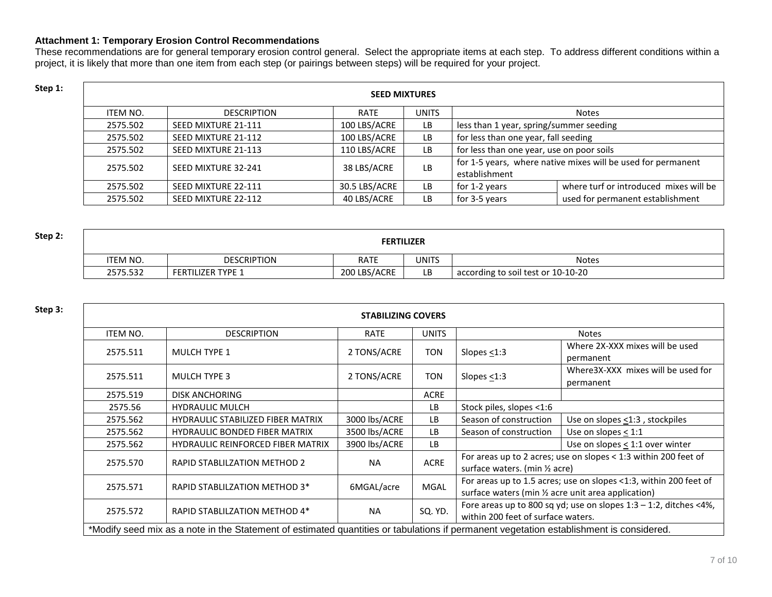### **Attachment 1: Temporary Erosion Control Recommendations**

These recommendations are for general temporary erosion control general. Select the appropriate items at each step. To address different conditions within a project, it is likely that more than one item from each step (or pairings between steps) will be required for your project.

| Step 1: | <b>SEED MIXTURES</b> |                     |               |              |                                           |                                                              |  |  |  |
|---------|----------------------|---------------------|---------------|--------------|-------------------------------------------|--------------------------------------------------------------|--|--|--|
|         | ITEM NO.             | <b>DESCRIPTION</b>  |               | <b>Notes</b> |                                           |                                                              |  |  |  |
|         | 2575.502             | SEED MIXTURE 21-111 | 100 LBS/ACRE  | LB           | less than 1 year, spring/summer seeding   |                                                              |  |  |  |
|         | 2575.502             | SEED MIXTURE 21-112 | 100 LBS/ACRE  | LB           | for less than one year, fall seeding      |                                                              |  |  |  |
|         | 2575.502             | SEED MIXTURE 21-113 | 110 LBS/ACRE  | LB           | for less than one year, use on poor soils |                                                              |  |  |  |
|         | 2575.502             | SEED MIXTURE 32-241 |               | LB           |                                           | for 1-5 years, where native mixes will be used for permanent |  |  |  |
|         |                      |                     | 38 LBS/ACRE   |              | establishment                             |                                                              |  |  |  |
|         | 2575.502             | SEED MIXTURE 22-111 | 30.5 LBS/ACRE | LB           | for 1-2 years                             | where turf or introduced mixes will be                       |  |  |  |
|         | 2575.502             | SEED MIXTURE 22-112 | 40 LBS/ACRE   | LB           | for 3-5 years                             | used for permanent establishment                             |  |  |  |

| Step 2: | <b>FERTILIZER</b> |                          |              |              |                                    |  |  |
|---------|-------------------|--------------------------|--------------|--------------|------------------------------------|--|--|
|         | <b>ITEM NO.</b>   | <b>DESCRIPTION</b>       | <b>RATE</b>  | <b>UNITS</b> | <b>Notes</b>                       |  |  |
|         | 2575.532          | <b>FERTILIZER TYPE 1</b> | 200 LBS/ACRE | LB           | according to soil test or 10-10-20 |  |  |

| Step 3: | <b>STABILIZING COVERS</b> |                                                                                                                                         |               |              |                                                                                                                                                                                                                                                                       |                                                                      |  |
|---------|---------------------------|-----------------------------------------------------------------------------------------------------------------------------------------|---------------|--------------|-----------------------------------------------------------------------------------------------------------------------------------------------------------------------------------------------------------------------------------------------------------------------|----------------------------------------------------------------------|--|
|         | ITEM NO.                  | <b>DESCRIPTION</b>                                                                                                                      | <b>RATE</b>   | <b>UNITS</b> | <b>Notes</b><br>Where 2X-XXX mixes will be used<br>Slopes $<$ 1:3<br>permanent<br>Where 3X-XXX mixes will be used for<br>Slopes $<$ 1:3<br>permanent                                                                                                                  |                                                                      |  |
|         | 2575.511                  | <b>MULCH TYPE 1</b>                                                                                                                     | 2 TONS/ACRE   | TON          |                                                                                                                                                                                                                                                                       |                                                                      |  |
|         | 2575.511                  | <b>MULCH TYPE 3</b>                                                                                                                     | 2 TONS/ACRE   | TON          |                                                                                                                                                                                                                                                                       |                                                                      |  |
|         | 2575.519                  | <b>DISK ANCHORING</b>                                                                                                                   |               | <b>ACRE</b>  |                                                                                                                                                                                                                                                                       |                                                                      |  |
|         | 2575.56                   | <b>HYDRAULIC MULCH</b>                                                                                                                  |               | LB           | Stock piles, slopes <1:6                                                                                                                                                                                                                                              |                                                                      |  |
|         | 2575.562                  | <b>HYDRAULIC STABILIZED FIBER MATRIX</b>                                                                                                | 3000 lbs/ACRE | LB           | Season of construction                                                                                                                                                                                                                                                | Use on slopes <1:3, stockpiles                                       |  |
|         | 2575.562                  | <b>HYDRAULIC BONDED FIBER MATRIX</b>                                                                                                    | 3500 lbs/ACRE | <b>LB</b>    | Season of construction                                                                                                                                                                                                                                                | Use on slopes $<$ 1:1                                                |  |
|         | 2575.562                  | <b>HYDRAULIC REINFORCED FIBER MATRIX</b>                                                                                                | 3900 lbs/ACRE | LB           | Use on slopes $\leq$ 1:1 over winter<br>For areas up to 2 acres; use on slopes < 1:3 within 200 feet of<br>surface waters. (min 1/2 acre)<br>For areas up to 1.5 acres; use on slopes <1:3, within 200 feet of<br>surface waters (min 1/2 acre unit area application) |                                                                      |  |
|         | 2575.570                  | RAPID STABLILZATION METHOD 2                                                                                                            | <b>NA</b>     | <b>ACRE</b>  |                                                                                                                                                                                                                                                                       |                                                                      |  |
|         | 2575.571                  | RAPID STABLILZATION METHOD 3*                                                                                                           | 6MGAL/acre    | <b>MGAL</b>  |                                                                                                                                                                                                                                                                       |                                                                      |  |
|         | 2575.572                  | RAPID STABLILZATION METHOD 4*                                                                                                           | <b>NA</b>     | SQ. YD.      | within 200 feet of surface waters.                                                                                                                                                                                                                                    | Fore areas up to 800 sq yd; use on slopes $1:3 - 1:2$ , ditches <4%, |  |
|         |                           | *Modify seed mix as a note in the Statement of estimated quantities or tabulations if permanent vegetation establishment is considered. |               |              |                                                                                                                                                                                                                                                                       |                                                                      |  |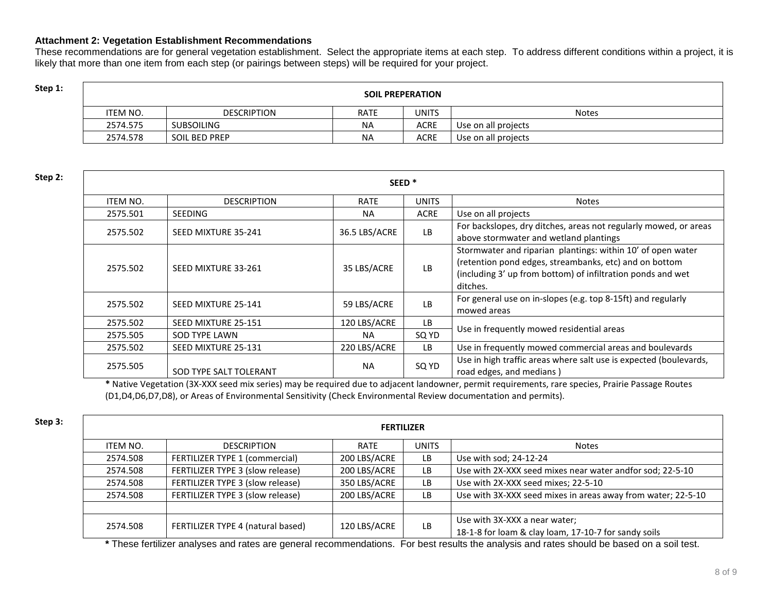### **Attachment 2: Vegetation Establishment Recommendations**

These recommendations are for general vegetation establishment. Select the appropriate items at each step. To address different conditions within a project, it is likely that more than one item from each step (or pairings between steps) will be required for your project.

## **Step 1: Step 1: SOIL PREPERATION**

| ITEM NO. | <b>DESCRIPTION</b>   | <b>RATE</b> | <b>UNITS</b> | <b>Notes</b>        |
|----------|----------------------|-------------|--------------|---------------------|
| 2574.575 | <b>SUBSOILING</b>    | <b>NA</b>   | ACRE         | Use on all projects |
| 2574.578 | <b>SOIL BED PREP</b> | <b>NA</b>   | ACRE         | Use on all projects |

| Step 2:                                          | SEED <sup>*</sup> |                        |                                                                                                            |              |                                                                                                                                                                                                  |  |  |  |  |
|--------------------------------------------------|-------------------|------------------------|------------------------------------------------------------------------------------------------------------|--------------|--------------------------------------------------------------------------------------------------------------------------------------------------------------------------------------------------|--|--|--|--|
|                                                  | <b>ITEM NO.</b>   | <b>DESCRIPTION</b>     | <b>RATE</b>                                                                                                | <b>UNITS</b> | Notes                                                                                                                                                                                            |  |  |  |  |
|                                                  | 2575.501          | <b>SEEDING</b>         | <b>NA</b>                                                                                                  | <b>ACRE</b>  | Use on all projects                                                                                                                                                                              |  |  |  |  |
| 36.5 LBS/ACRE<br>2575.502<br>SEED MIXTURE 35-241 |                   | <b>LB</b>              | For backslopes, dry ditches, areas not regularly mowed, or areas<br>above stormwater and wetland plantings |              |                                                                                                                                                                                                  |  |  |  |  |
|                                                  | 2575.502          | SEED MIXTURE 33-261    | 35 LBS/ACRE                                                                                                | <b>LB</b>    | Stormwater and riparian plantings: within 10' of open water<br>(retention pond edges, streambanks, etc) and on bottom<br>(including 3' up from bottom) of infiltration ponds and wet<br>ditches. |  |  |  |  |
|                                                  | 2575.502          | SEED MIXTURE 25-141    | 59 LBS/ACRE                                                                                                | LB           | For general use on in-slopes (e.g. top 8-15ft) and regularly<br>mowed areas                                                                                                                      |  |  |  |  |
|                                                  | 2575.502          | SEED MIXTURE 25-151    | 120 LBS/ACRE                                                                                               | LB.          | Use in frequently mowed residential areas                                                                                                                                                        |  |  |  |  |
|                                                  | 2575.505          | SOD TYPE LAWN          | <b>NA</b>                                                                                                  | SQ YD        |                                                                                                                                                                                                  |  |  |  |  |
|                                                  | 2575.502          | SEED MIXTURE 25-131    | 220 LBS/ACRE                                                                                               | LB.          | Use in frequently mowed commercial areas and boulevards                                                                                                                                          |  |  |  |  |
|                                                  | 2575.505          | SOD TYPE SALT TOLERANT | <b>NA</b>                                                                                                  | SQ YD        | Use in high traffic areas where salt use is expected (boulevards,<br>road edges, and medians)                                                                                                    |  |  |  |  |

**\*** Native Vegetation (3X-XXX seed mix series) may be required due to adjacent landowner, permit requirements, rare species, Prairie Passage Routes (D1,D4,D6,D7,D8), or Areas of Environmental Sensitivity (Check Environmental Review documentation and permits).

| Step 3: | <b>FERTILIZER</b> |                                   |              |              |                                                                                       |  |  |  |  |  |
|---------|-------------------|-----------------------------------|--------------|--------------|---------------------------------------------------------------------------------------|--|--|--|--|--|
|         | ITEM NO.          | <b>DESCRIPTION</b>                | <b>RATE</b>  | <b>UNITS</b> | <b>Notes</b>                                                                          |  |  |  |  |  |
|         | 2574.508          | FERTILIZER TYPE 1 (commercial)    | 200 LBS/ACRE | <b>LB</b>    | Use with sod; 24-12-24                                                                |  |  |  |  |  |
|         | 2574.508          | FERTILIZER TYPE 3 (slow release)  | 200 LBS/ACRE | <b>LB</b>    | Use with 2X-XXX seed mixes near water andfor sod; 22-5-10                             |  |  |  |  |  |
|         | 2574.508          | FERTILIZER TYPE 3 (slow release)  | 350 LBS/ACRE | <b>LB</b>    | Use with 2X-XXX seed mixes; 22-5-10                                                   |  |  |  |  |  |
|         | 2574.508          | FERTILIZER TYPE 3 (slow release)  | 200 LBS/ACRE | <b>LB</b>    | Use with 3X-XXX seed mixes in areas away from water; 22-5-10                          |  |  |  |  |  |
|         |                   |                                   |              |              |                                                                                       |  |  |  |  |  |
|         | 2574.508          | FERTILIZER TYPE 4 (natural based) | 120 LBS/ACRE | <b>LB</b>    | Use with 3X-XXX a near water;<br>18-1-8 for loam & clay loam, 17-10-7 for sandy soils |  |  |  |  |  |

**\*** These fertilizer analyses and rates are general recommendations. For best results the analysis and rates should be based on a soil test.